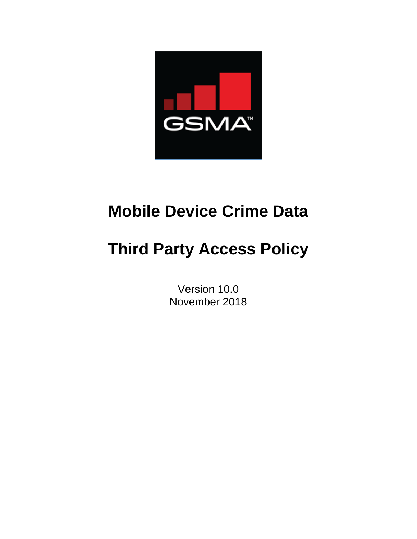

# **Mobile Device Crime Data**

# **Third Party Access Policy**

Version 10.0 November 2018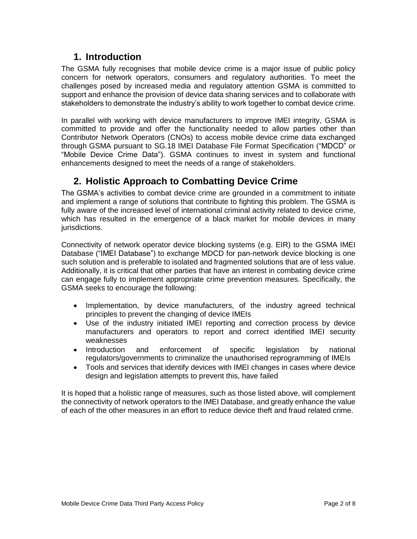## **1. Introduction**

The GSMA fully recognises that mobile device crime is a major issue of public policy concern for network operators, consumers and regulatory authorities. To meet the challenges posed by increased media and regulatory attention GSMA is committed to support and enhance the provision of device data sharing services and to collaborate with stakeholders to demonstrate the industry's ability to work together to combat device crime.

In parallel with working with device manufacturers to improve IMEI integrity, GSMA is committed to provide and offer the functionality needed to allow parties other than Contributor Network Operators (CNOs) to access mobile device crime data exchanged through GSMA pursuant to SG.18 IMEI Database File Format Specification ("MDCD" or "Mobile Device Crime Data"). GSMA continues to invest in system and functional enhancements designed to meet the needs of a range of stakeholders.

## **2. Holistic Approach to Combatting Device Crime**

The GSMA's activities to combat device crime are grounded in a commitment to initiate and implement a range of solutions that contribute to fighting this problem. The GSMA is fully aware of the increased level of international criminal activity related to device crime, which has resulted in the emergence of a black market for mobile devices in many jurisdictions.

Connectivity of network operator device blocking systems (e.g. EIR) to the GSMA IMEI Database ("IMEI Database") to exchange MDCD for pan-network device blocking is one such solution and is preferable to isolated and fragmented solutions that are of less value. Additionally, it is critical that other parties that have an interest in combating device crime can engage fully to implement appropriate crime prevention measures. Specifically, the GSMA seeks to encourage the following:

- Implementation, by device manufacturers, of the industry agreed technical principles to prevent the changing of device IMEIs
- Use of the industry initiated IMEI reporting and correction process by device manufacturers and operators to report and correct identified IMEI security weaknesses
- Introduction and enforcement of specific legislation by national regulators/governments to criminalize the unauthorised reprogramming of IMEIs
- Tools and services that identify devices with IMEI changes in cases where device design and legislation attempts to prevent this, have failed

It is hoped that a holistic range of measures, such as those listed above, will complement the connectivity of network operators to the IMEI Database, and greatly enhance the value of each of the other measures in an effort to reduce device theft and fraud related crime.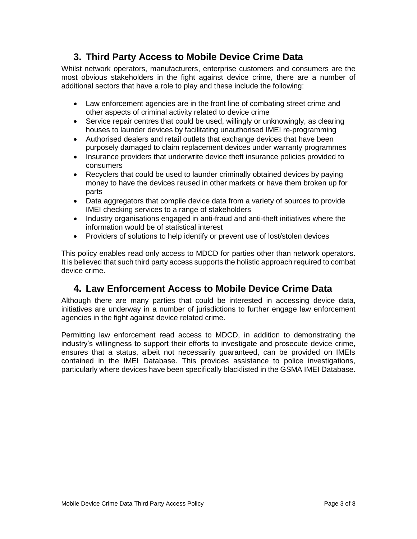## **3. Third Party Access to Mobile Device Crime Data**

Whilst network operators, manufacturers, enterprise customers and consumers are the most obvious stakeholders in the fight against device crime, there are a number of additional sectors that have a role to play and these include the following:

- Law enforcement agencies are in the front line of combating street crime and other aspects of criminal activity related to device crime
- Service repair centres that could be used, willingly or unknowingly, as clearing houses to launder devices by facilitating unauthorised IMEI re-programming
- Authorised dealers and retail outlets that exchange devices that have been purposely damaged to claim replacement devices under warranty programmes
- Insurance providers that underwrite device theft insurance policies provided to consumers
- Recyclers that could be used to launder criminally obtained devices by paying money to have the devices reused in other markets or have them broken up for parts
- Data aggregators that compile device data from a variety of sources to provide IMEI checking services to a range of stakeholders
- Industry organisations engaged in anti-fraud and anti-theft initiatives where the information would be of statistical interest
- Providers of solutions to help identify or prevent use of lost/stolen devices

This policy enables read only access to MDCD for parties other than network operators. It is believed that such third party access supports the holistic approach required to combat device crime.

## **4. Law Enforcement Access to Mobile Device Crime Data**

Although there are many parties that could be interested in accessing device data, initiatives are underway in a number of jurisdictions to further engage law enforcement agencies in the fight against device related crime.

Permitting law enforcement read access to MDCD, in addition to demonstrating the industry's willingness to support their efforts to investigate and prosecute device crime, ensures that a status, albeit not necessarily guaranteed, can be provided on IMEIs contained in the IMEI Database. This provides assistance to police investigations, particularly where devices have been specifically blacklisted in the GSMA IMEI Database.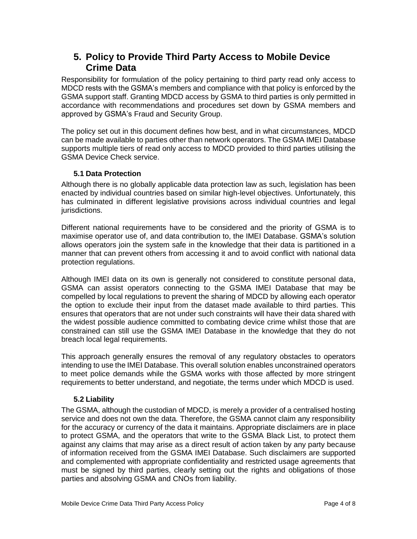### **5. Policy to Provide Third Party Access to Mobile Device Crime Data**

Responsibility for formulation of the policy pertaining to third party read only access to MDCD rests with the GSMA's members and compliance with that policy is enforced by the GSMA support staff. Granting MDCD access by GSMA to third parties is only permitted in accordance with recommendations and procedures set down by GSMA members and approved by GSMA's Fraud and Security Group.

The policy set out in this document defines how best, and in what circumstances, MDCD can be made available to parties other than network operators. The GSMA IMEI Database supports multiple tiers of read only access to MDCD provided to third parties utilising the GSMA Device Check service.

#### **5.1 Data Protection**

Although there is no globally applicable data protection law as such, legislation has been enacted by individual countries based on similar high-level objectives. Unfortunately, this has culminated in different legislative provisions across individual countries and legal jurisdictions.

Different national requirements have to be considered and the priority of GSMA is to maximise operator use of, and data contribution to, the IMEI Database. GSMA's solution allows operators join the system safe in the knowledge that their data is partitioned in a manner that can prevent others from accessing it and to avoid conflict with national data protection regulations.

Although IMEI data on its own is generally not considered to constitute personal data, GSMA can assist operators connecting to the GSMA IMEI Database that may be compelled by local regulations to prevent the sharing of MDCD by allowing each operator the option to exclude their input from the dataset made available to third parties. This ensures that operators that are not under such constraints will have their data shared with the widest possible audience committed to combating device crime whilst those that are constrained can still use the GSMA IMEI Database in the knowledge that they do not breach local legal requirements.

This approach generally ensures the removal of any regulatory obstacles to operators intending to use the IMEI Database. This overall solution enables unconstrained operators to meet police demands while the GSMA works with those affected by more stringent requirements to better understand, and negotiate, the terms under which MDCD is used.

#### **5.2 Liability**

The GSMA, although the custodian of MDCD, is merely a provider of a centralised hosting service and does not own the data. Therefore, the GSMA cannot claim any responsibility for the accuracy or currency of the data it maintains. Appropriate disclaimers are in place to protect GSMA, and the operators that write to the GSMA Black List, to protect them against any claims that may arise as a direct result of action taken by any party because of information received from the GSMA IMEI Database. Such disclaimers are supported and complemented with appropriate confidentiality and restricted usage agreements that must be signed by third parties, clearly setting out the rights and obligations of those parties and absolving GSMA and CNOs from liability.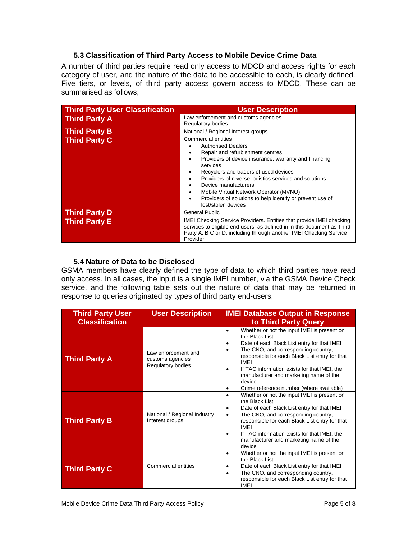#### **5.3 Classification of Third Party Access to Mobile Device Crime Data**

A number of third parties require read only access to MDCD and access rights for each category of user, and the nature of the data to be accessible to each, is clearly defined. Five tiers, or levels, of third party access govern access to MDCD. These can be summarised as follows;

| <b>Third Party User Classification</b> | <b>User Description</b>                                                                                                                                                                                                                                                                                                                                                                                                |  |
|----------------------------------------|------------------------------------------------------------------------------------------------------------------------------------------------------------------------------------------------------------------------------------------------------------------------------------------------------------------------------------------------------------------------------------------------------------------------|--|
| <b>Third Party A</b>                   | Law enforcement and customs agencies<br><b>Regulatory bodies</b>                                                                                                                                                                                                                                                                                                                                                       |  |
| <b>Third Party B</b>                   | National / Regional Interest groups                                                                                                                                                                                                                                                                                                                                                                                    |  |
| <b>Third Party C</b>                   | Commercial entities<br><b>Authorised Dealers</b><br>Repair and refurbishment centres<br>Providers of device insurance, warranty and financing<br>٠<br>services<br>Recyclers and traders of used devices<br>Providers of reverse logistics services and solutions<br>Device manufacturers<br>Mobile Virtual Network Operator (MVNO)<br>Providers of solutions to help identify or prevent use of<br>lost/stolen devices |  |
| <b>Third Party D</b>                   | General Public                                                                                                                                                                                                                                                                                                                                                                                                         |  |
| <b>Third Party E</b>                   | IMEI Checking Service Providers. Entities that provide IMEI checking<br>services to eligible end-users, as defined in in this document as Third<br>Party A, B C or D, including through another IMEI Checking Service<br>Provider.                                                                                                                                                                                     |  |

#### **5.4 Nature of Data to be Disclosed**

GSMA members have clearly defined the type of data to which third parties have read only access. In all cases, the input is a single IMEI number, via the GSMA Device Check service, and the following table sets out the nature of data that may be returned in response to queries originated by types of third party end-users;

| <b>Third Party User</b> | <b>User Description</b>                                      | <b>IMEI Database Output in Response</b>                                                                                                                                                                                                                                                                                                                                                                        |
|-------------------------|--------------------------------------------------------------|----------------------------------------------------------------------------------------------------------------------------------------------------------------------------------------------------------------------------------------------------------------------------------------------------------------------------------------------------------------------------------------------------------------|
| <b>Classification</b>   |                                                              | to Third Party Query                                                                                                                                                                                                                                                                                                                                                                                           |
| <b>Third Party A</b>    | Law enforcement and<br>customs agencies<br>Regulatory bodies | Whether or not the input IMEI is present on<br>$\bullet$<br>the Black List<br>Date of each Black List entry for that IMEI<br>٠<br>The CNO, and corresponding country,<br>$\bullet$<br>responsible for each Black List entry for that<br>IMFI<br>If TAC information exists for that IMEI, the<br>$\bullet$<br>manufacturer and marketing name of the<br>device<br>Crime reference number (where available)<br>٠ |
| <b>Third Party B</b>    | National / Regional Industry<br>Interest groups              | Whether or not the input IMEI is present on<br>$\bullet$<br>the Black List<br>Date of each Black List entry for that IMEI<br>٠<br>The CNO, and corresponding country,<br>٠<br>responsible for each Black List entry for that<br>IMEI<br>If TAC information exists for that IMEI, the<br>٠<br>manufacturer and marketing name of the<br>device                                                                  |
| <b>Third Party C</b>    | Commercial entities                                          | Whether or not the input IMEI is present on<br>$\bullet$<br>the Black List<br>Date of each Black List entry for that IMEI<br>٠<br>The CNO, and corresponding country,<br>$\bullet$<br>responsible for each Black List entry for that<br>IMEI                                                                                                                                                                   |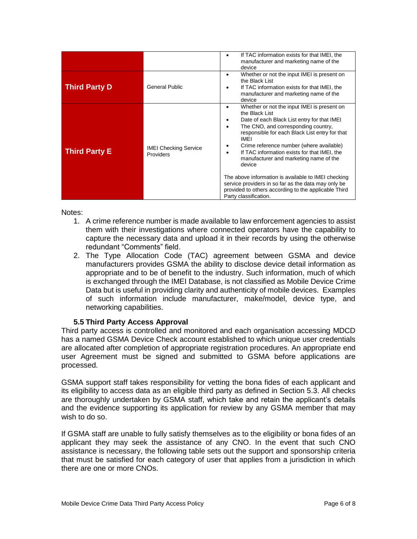|                      |                                           | If TAC information exists for that IMEI, the<br>٠<br>manufacturer and marketing name of the<br>device                                                                                                                                                                                                                                                                                                                                                                                                                                                                                       |
|----------------------|-------------------------------------------|---------------------------------------------------------------------------------------------------------------------------------------------------------------------------------------------------------------------------------------------------------------------------------------------------------------------------------------------------------------------------------------------------------------------------------------------------------------------------------------------------------------------------------------------------------------------------------------------|
| <b>Third Party D</b> | General Public                            | Whether or not the input IMEI is present on<br>$\bullet$<br>the Black List<br>If TAC information exists for that IMEI, the<br>manufacturer and marketing name of the<br>device                                                                                                                                                                                                                                                                                                                                                                                                              |
| <b>Third Party E</b> | <b>IMEI Checking Service</b><br>Providers | Whether or not the input IMEI is present on<br>٠<br>the Black List<br>Date of each Black List entry for that IMEI<br>The CNO, and corresponding country,<br>$\bullet$<br>responsible for each Black List entry for that<br>IMEI<br>Crime reference number (where available)<br>If TAC information exists for that IMEI, the<br>$\bullet$<br>manufacturer and marketing name of the<br>device<br>The above information is available to IMEI checking<br>service providers in so far as the data may only be<br>provided to others according to the applicable Third<br>Party classification. |

Notes:

- 1. A crime reference number is made available to law enforcement agencies to assist them with their investigations where connected operators have the capability to capture the necessary data and upload it in their records by using the otherwise redundant "Comments" field.
- 2. The Type Allocation Code (TAC) agreement between GSMA and device manufacturers provides GSMA the ability to disclose device detail information as appropriate and to be of benefit to the industry. Such information, much of which is exchanged through the IMEI Database, is not classified as Mobile Device Crime Data but is useful in providing clarity and authenticity of mobile devices. Examples of such information include manufacturer, make/model, device type, and networking capabilities.

#### **5.5 Third Party Access Approval**

Third party access is controlled and monitored and each organisation accessing MDCD has a named GSMA Device Check account established to which unique user credentials are allocated after completion of appropriate registration procedures. An appropriate end user Agreement must be signed and submitted to GSMA before applications are processed.

GSMA support staff takes responsibility for vetting the bona fides of each applicant and its eligibility to access data as an eligible third party as defined in Section 5.3. All checks are thoroughly undertaken by GSMA staff, which take and retain the applicant's details and the evidence supporting its application for review by any GSMA member that may wish to do so.

If GSMA staff are unable to fully satisfy themselves as to the eligibility or bona fides of an applicant they may seek the assistance of any CNO. In the event that such CNO assistance is necessary, the following table sets out the support and sponsorship criteria that must be satisfied for each category of user that applies from a jurisdiction in which there are one or more CNOs.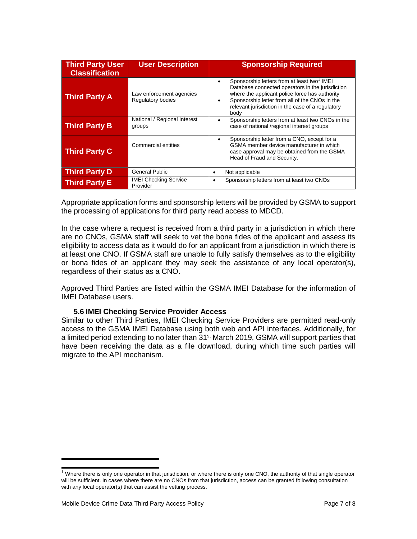| <b>Third Party User</b><br><b>Classification</b> | <b>User Description</b>                       | <b>Sponsorship Required</b>                                                                                                                                                                                                                                                  |
|--------------------------------------------------|-----------------------------------------------|------------------------------------------------------------------------------------------------------------------------------------------------------------------------------------------------------------------------------------------------------------------------------|
| <b>Third Party A</b>                             | Law enforcement agencies<br>Regulatory bodies | Sponsorship letters from at least two <sup>1</sup> IMEI<br>Database connected operators in the jurisdiction<br>where the applicant police force has authority<br>Sponsorship letter from all of the CNOs in the<br>relevant jurisdiction in the case of a regulatory<br>body |
| <b>Third Party B</b>                             | National / Regional Interest<br>groups        | Sponsorship letters from at least two CNOs in the<br>case of national /regional interest groups                                                                                                                                                                              |
| <b>Third Party C</b>                             | Commercial entities                           | Sponsorship letter from a CNO, except for a<br>GSMA member device manufacturer in which<br>case approval may be obtained from the GSMA<br>Head of Fraud and Security.                                                                                                        |
| <b>Third Party D</b>                             | General Public                                | Not applicable                                                                                                                                                                                                                                                               |
| <b>Third Party E</b>                             | <b>IMEI Checking Service</b><br>Provider      | Sponsorship letters from at least two CNOs                                                                                                                                                                                                                                   |

Appropriate application forms and sponsorship letters will be provided by GSMA to support the processing of applications for third party read access to MDCD.

In the case where a request is received from a third party in a jurisdiction in which there are no CNOs, GSMA staff will seek to vet the bona fides of the applicant and assess its eligibility to access data as it would do for an applicant from a jurisdiction in which there is at least one CNO. If GSMA staff are unable to fully satisfy themselves as to the eligibility or bona fides of an applicant they may seek the assistance of any local operator(s), regardless of their status as a CNO.

Approved Third Parties are listed within the GSMA IMEI Database for the information of IMEI Database users.

#### **5.6 IMEI Checking Service Provider Access**

Similar to other Third Parties, IMEI Checking Service Providers are permitted read-only access to the GSMA IMEI Database using both web and API interfaces. Additionally, for a limited period extending to no later than 31<sup>st</sup> March 2019, GSMA will support parties that have been receiving the data as a file download, during which time such parties will migrate to the API mechanism.

 $1$  Where there is only one operator in that jurisdiction, or where there is only one CNO, the authority of that single operator will be sufficient. In cases where there are no CNOs from that jurisdiction, access can be granted following consultation with any local operator(s) that can assist the vetting process.